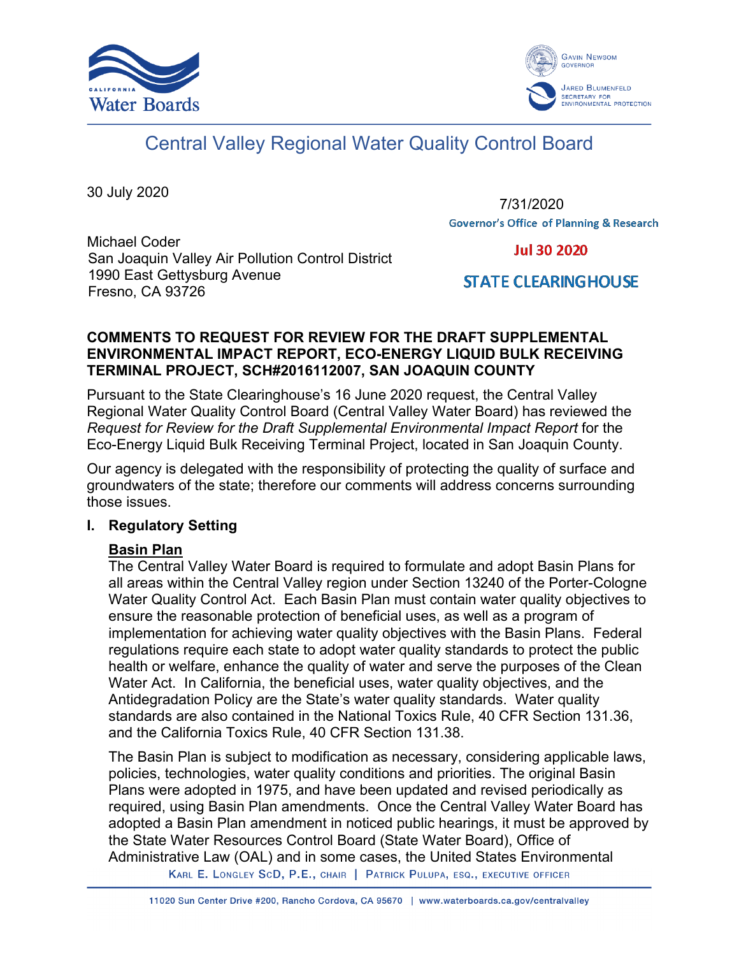



# Central Valley Regional Water Quality Control Board

30 July 2020

7/31/2020**Governor's Office of Planning & Research** 

Michael Coder San Joaquin Valley Air Pollution Control District 1990 East Gettysburg Avenue Fresno, CA 93726

**Jul 30 2020** 

# **STATE CLEARING HOUSE**

# **COMMENTS TO REQUEST FOR REVIEW FOR THE DRAFT SUPPLEMENTAL ENVIRONMENTAL IMPACT REPORT, ECO-ENERGY LIQUID BULK RECEIVING TERMINAL PROJECT, SCH#2016112007, SAN JOAQUIN COUNTY**

Pursuant to the State Clearinghouse's 16 June 2020 request, the Central Valley Regional Water Quality Control Board (Central Valley Water Board) has reviewed the *Request for Review for the Draft Supplemental Environmental Impact Report* for the Eco-Energy Liquid Bulk Receiving Terminal Project, located in San Joaquin County.

Our agency is delegated with the responsibility of protecting the quality of surface and groundwaters of the state; therefore our comments will address concerns surrounding those issues.

#### **I. Regulatory Setting**

# **Basin Plan**

The Central Valley Water Board is required to formulate and adopt Basin Plans for all areas within the Central Valley region under Section 13240 of the Porter-Cologne Water Quality Control Act. Each Basin Plan must contain water quality objectives to ensure the reasonable protection of beneficial uses, as well as a program of implementation for achieving water quality objectives with the Basin Plans. Federal regulations require each state to adopt water quality standards to protect the public health or welfare, enhance the quality of water and serve the purposes of the Clean Water Act. In California, the beneficial uses, water quality objectives, and the Antidegradation Policy are the State's water quality standards. Water quality standards are also contained in the National Toxics Rule, 40 CFR Section 131.36, and the California Toxics Rule, 40 CFR Section 131.38.

The Basin Plan is subject to modification as necessary, considering applicable laws, policies, technologies, water quality conditions and priorities. The original Basin Plans were adopted in 1975, and have been updated and revised periodically as required, using Basin Plan amendments. Once the Central Valley Water Board has adopted a Basin Plan amendment in noticed public hearings, it must be approved by the State Water Resources Control Board (State Water Board), Office of Administrative Law (OAL) and in some cases, the United States Environmental

KARL E. LONGLEY SCD, P.E., CHAIR | PATRICK PULUPA, ESQ., EXECUTIVE OFFICER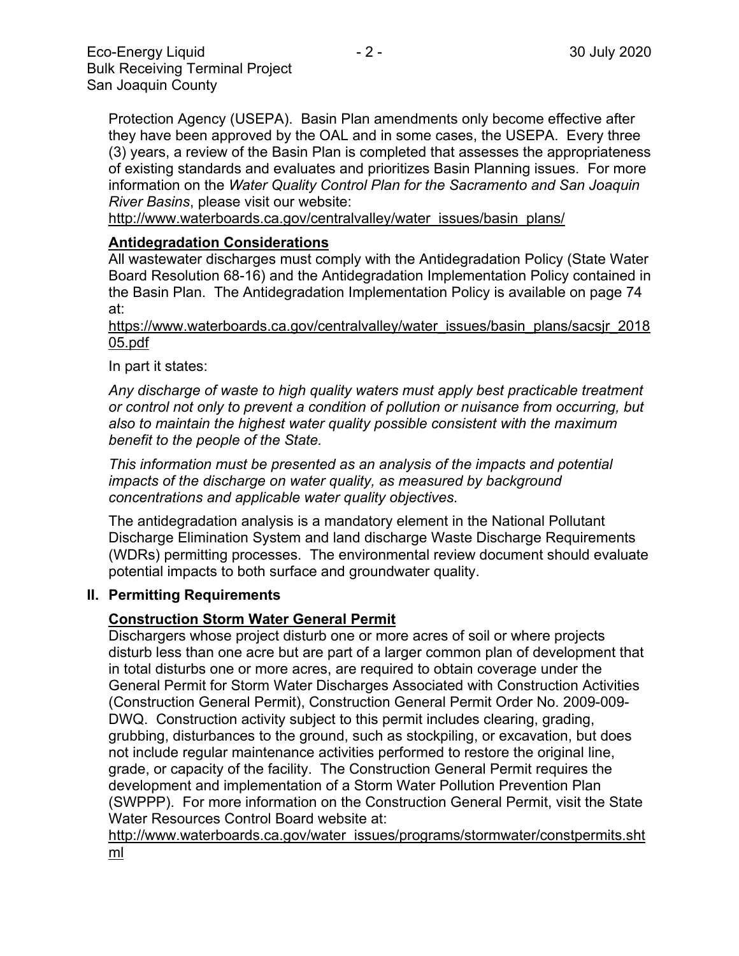Protection Agency (USEPA). Basin Plan amendments only become effective after they have been approved by the OAL and in some cases, the USEPA. Every three (3) years, a review of the Basin Plan is completed that assesses the appropriateness of existing standards and evaluates and prioritizes Basin Planning issues. For more information on the *Water Quality Control Plan for the Sacramento and San Joaquin River Basins*, please visit our website:

[http://www.waterboards.ca.gov/centralvalley/water\\_issues/basin\\_plans/](http://www.waterboards.ca.gov/centralvalley/water_issues/basin_plans/)

# **Antidegradation Considerations**

All wastewater discharges must comply with the Antidegradation Policy (State Water Board Resolution 68-16) and the Antidegradation Implementation Policy contained in the Basin Plan. The Antidegradation Implementation Policy is available on page 74 at:

https://www.waterboards.ca.gov/centralvalley/water\_issues/basin\_plans/sacsjr\_2018 05.pdf

In part it states:

*Any discharge of waste to high quality waters must apply best practicable treatment or control not only to prevent a condition of pollution or nuisance from occurring, but also to maintain the highest water quality possible consistent with the maximum benefit to the people of the State.*

*This information must be presented as an analysis of the impacts and potential impacts of the discharge on water quality, as measured by background concentrations and applicable water quality objectives.*

The antidegradation analysis is a mandatory element in the National Pollutant Discharge Elimination System and land discharge Waste Discharge Requirements (WDRs) permitting processes. The environmental review document should evaluate potential impacts to both surface and groundwater quality.

#### **II. Permitting Requirements**

#### **Construction Storm Water General Permit**

Dischargers whose project disturb one or more acres of soil or where projects disturb less than one acre but are part of a larger common plan of development that in total disturbs one or more acres, are required to obtain coverage under the General Permit for Storm Water Discharges Associated with Construction Activities (Construction General Permit), Construction General Permit Order No. 2009-009- DWQ. Construction activity subject to this permit includes clearing, grading, grubbing, disturbances to the ground, such as stockpiling, or excavation, but does not include regular maintenance activities performed to restore the original line, grade, or capacity of the facility. The Construction General Permit requires the development and implementation of a Storm Water Pollution Prevention Plan (SWPPP). For more information on the Construction General Permit, visit the State Water Resources Control Board website at:

[http://www.waterboards.ca.gov/water\\_issues/programs/stormwater/constpermits.sht](http://www.waterboards.ca.gov/water_issues/programs/stormwater/constpermits.shtml) [ml](http://www.waterboards.ca.gov/water_issues/programs/stormwater/constpermits.shtml)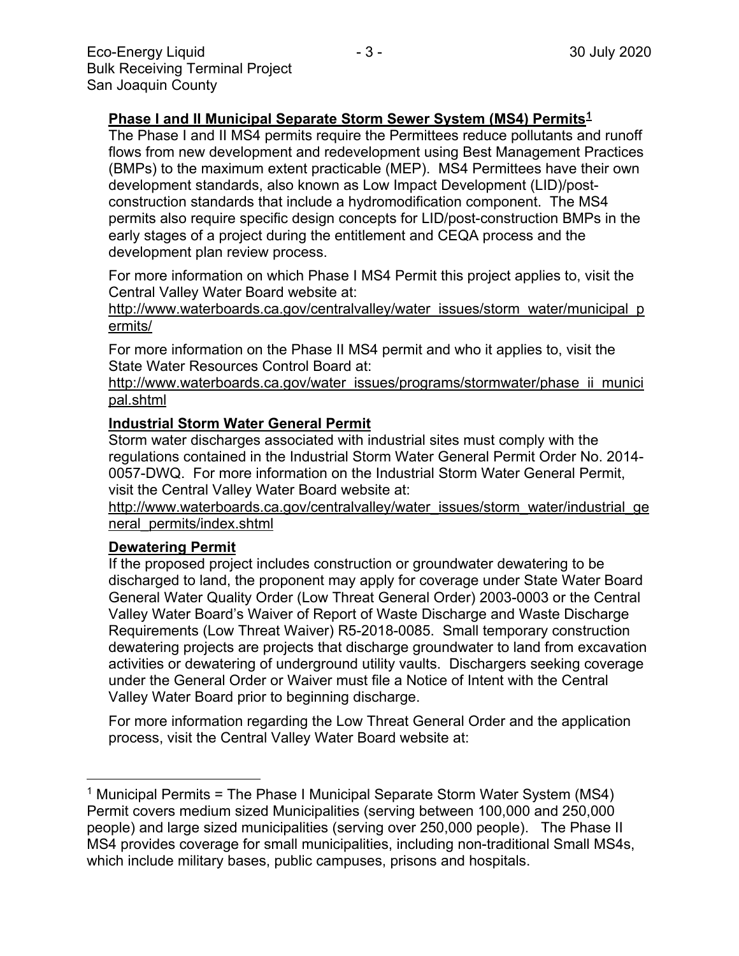## **Phase I and II Municipal Separate Storm Sewer System (MS4) Permits[1](#page-2-0)**

The Phase I and II MS4 permits require the Permittees reduce pollutants and runoff flows from new development and redevelopment using Best Management Practices (BMPs) to the maximum extent practicable (MEP). MS4 Permittees have their own development standards, also known as Low Impact Development (LID)/postconstruction standards that include a hydromodification component. The MS4 permits also require specific design concepts for LID/post-construction BMPs in the early stages of a project during the entitlement and CEQA process and the development plan review process.

For more information on which Phase I MS4 Permit this project applies to, visit the Central Valley Water Board website at:

http://www.waterboards.ca.gov/centralvalley/water\_issues/storm\_water/municipal\_p ermits/

For more information on the Phase II MS4 permit and who it applies to, visit the State Water Resources Control Board at:

http://www.waterboards.ca.gov/water\_issues/programs/stormwater/phase\_ii\_munici pal.shtml

#### **Industrial Storm Water General Permit**

Storm water discharges associated with industrial sites must comply with the regulations contained in the Industrial Storm Water General Permit Order No. 2014- 0057-DWQ. For more information on the Industrial Storm Water General Permit, visit the Central Valley Water Board website at:

http://www.waterboards.ca.gov/centralvalley/water\_issues/storm\_water/industrial\_ge neral\_permits/index.shtml

#### **Dewatering Permit**

If the proposed project includes construction or groundwater dewatering to be discharged to land, the proponent may apply for coverage under State Water Board General Water Quality Order (Low Threat General Order) 2003-0003 or the Central Valley Water Board's Waiver of Report of Waste Discharge and Waste Discharge Requirements (Low Threat Waiver) R5-2018-0085. Small temporary construction dewatering projects are projects that discharge groundwater to land from excavation activities or dewatering of underground utility vaults. Dischargers seeking coverage under the General Order or Waiver must file a Notice of Intent with the Central Valley Water Board prior to beginning discharge.

For more information regarding the Low Threat General Order and the application process, visit the Central Valley Water Board website at:

<span id="page-2-0"></span><sup>1</sup> Municipal Permits = The Phase I Municipal Separate Storm Water System (MS4) Permit covers medium sized Municipalities (serving between 100,000 and 250,000 people) and large sized municipalities (serving over 250,000 people). The Phase II MS4 provides coverage for small municipalities, including non-traditional Small MS4s, which include military bases, public campuses, prisons and hospitals.